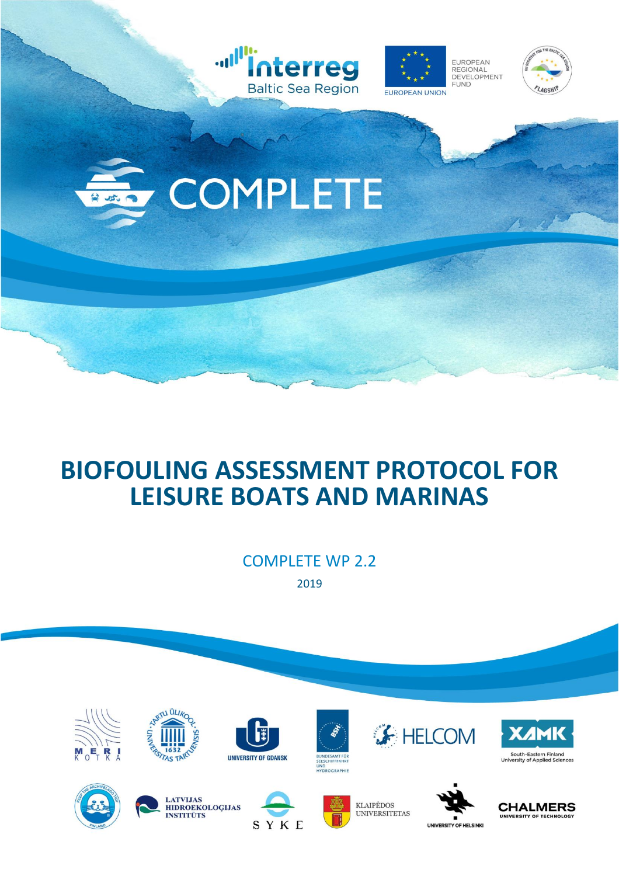

## **BIOFOULING ASSESSMENT PROTOCOL FOR LEISURE BOATS AND MARINAS**

COMPLETE WP 2.2 2019

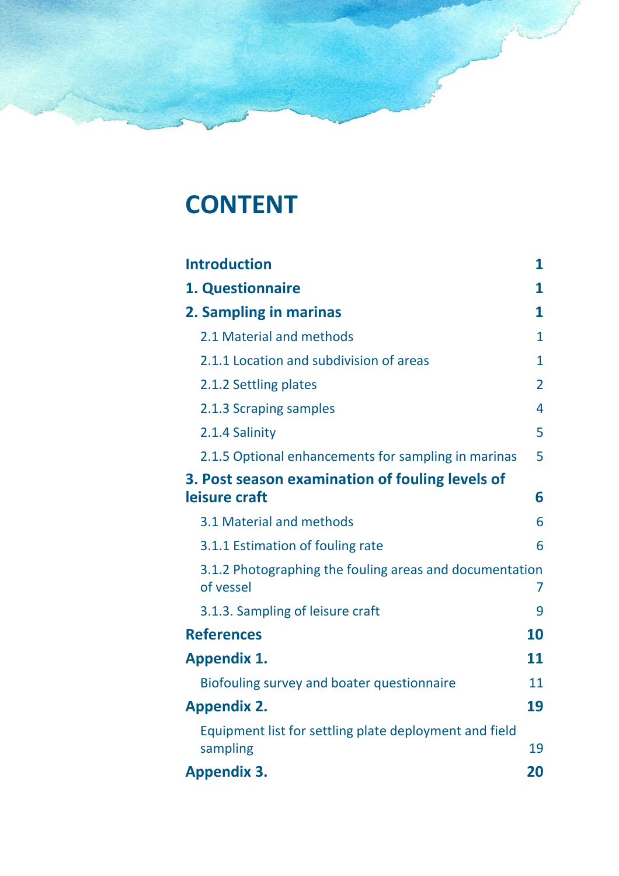# **CONTENT**

| <b>Introduction</b>                                                  | 1              |
|----------------------------------------------------------------------|----------------|
| 1. Questionnaire                                                     | 1              |
| 2. Sampling in marinas                                               | 1              |
| 2.1 Material and methods                                             | 1.             |
| 2.1.1 Location and subdivision of areas                              | $\mathbf{1}$   |
| 2.1.2 Settling plates                                                | $\overline{2}$ |
| 2.1.3 Scraping samples                                               | 4              |
| 2.1.4 Salinity                                                       | 5              |
| 2.1.5 Optional enhancements for sampling in marinas                  | 5              |
| 3. Post season examination of fouling levels of<br>leisure craft     | 6              |
| 3.1 Material and methods                                             | 6              |
| 3.1.1 Estimation of fouling rate                                     | 6              |
| 3.1.2 Photographing the fouling areas and documentation<br>of vessel | 7              |
| 3.1.3. Sampling of leisure craft                                     | 9              |
| <b>References</b>                                                    | 10             |
| <b>Appendix 1.</b>                                                   | 11             |
| Biofouling survey and boater questionnaire                           | 11             |
| <b>Appendix 2.</b>                                                   | 19             |
| Equipment list for settling plate deployment and field<br>sampling   | 19             |
| <b>Appendix 3.</b>                                                   | 20             |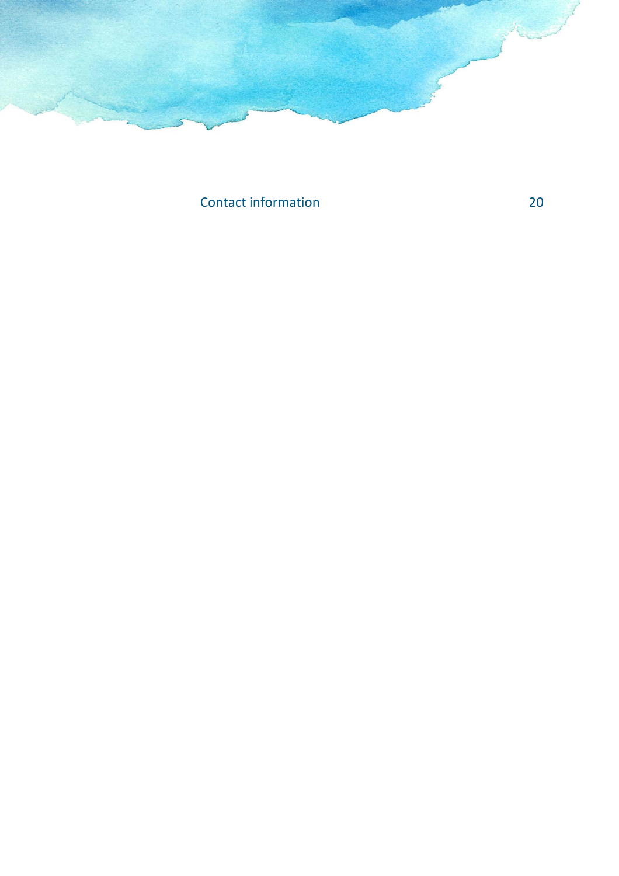

[Contact information](#page-22-1) 20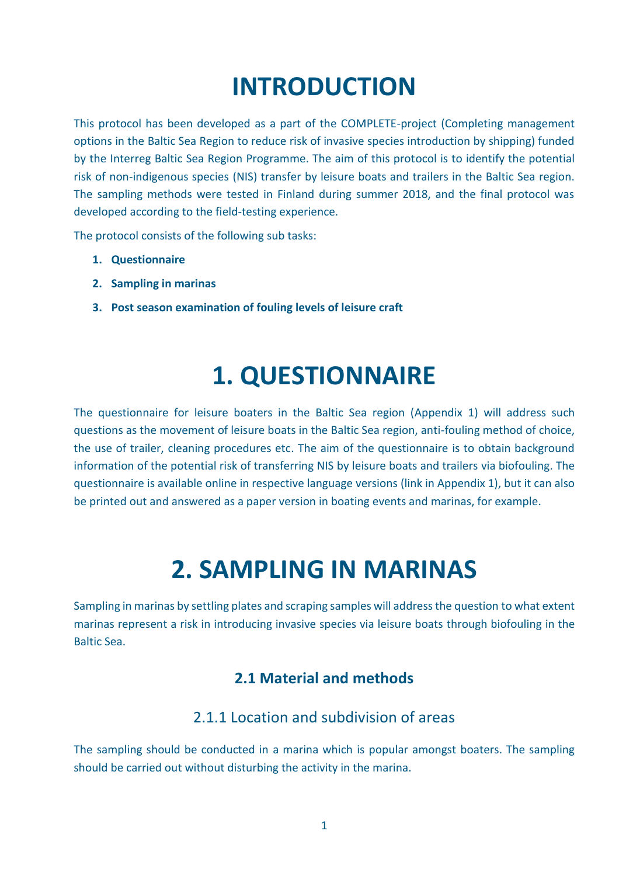# **INTRODUCTION**

<span id="page-3-0"></span>This protocol has been developed as a part of the COMPLETE-project (Completing management options in the Baltic Sea Region to reduce risk of invasive species introduction by shipping) funded by the Interreg Baltic Sea Region Programme. The aim of this protocol is to identify the potential risk of non-indigenous species (NIS) transfer by leisure boats and trailers in the Baltic Sea region. The sampling methods were tested in Finland during summer 2018, and the final protocol was developed according to the field-testing experience.

The protocol consists of the following sub tasks:

- **1. Questionnaire**
- **2. Sampling in marinas**
- <span id="page-3-1"></span>**3. Post season examination of fouling levels of leisure craft**

# **1. QUESTIONNAIRE**

The questionnaire for leisure boaters in the Baltic Sea region (Appendix 1) will address such questions as the movement of leisure boats in the Baltic Sea region, anti-fouling method of choice, the use of trailer, cleaning procedures etc. The aim of the questionnaire is to obtain background information of the potential risk of transferring NIS by leisure boats and trailers via biofouling. The questionnaire is available online in respective language versions (link in Appendix 1), but it can also be printed out and answered as a paper version in boating events and marinas, for example.

## **2. SAMPLING IN MARINAS**

<span id="page-3-3"></span><span id="page-3-2"></span>Sampling in marinas by settling plates and scraping samples will address the question to what extent marinas represent a risk in introducing invasive species via leisure boats through biofouling in the Baltic Sea.

## **2.1 Material and methods**

## 2.1.1 Location and subdivision of areas

<span id="page-3-4"></span>The sampling should be conducted in a marina which is popular amongst boaters. The sampling should be carried out without disturbing the activity in the marina.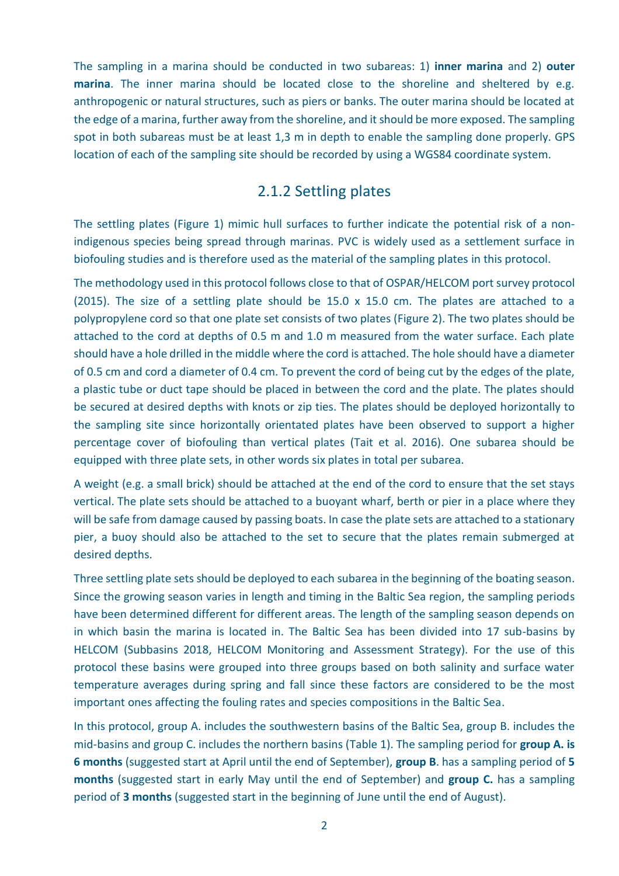The sampling in a marina should be conducted in two subareas: 1) **inner marina** and 2) **outer marina**. The inner marina should be located close to the shoreline and sheltered by e.g. anthropogenic or natural structures, such as piers or banks. The outer marina should be located at the edge of a marina, further away from the shoreline, and it should be more exposed. The sampling spot in both subareas must be at least 1,3 m in depth to enable the sampling done properly. GPS location of each of the sampling site should be recorded by using a WGS84 coordinate system.

#### 2.1.2 Settling plates

<span id="page-4-0"></span>The settling plates (Figure 1) mimic hull surfaces to further indicate the potential risk of a nonindigenous species being spread through marinas. PVC is widely used as a settlement surface in biofouling studies and is therefore used as the material of the sampling plates in this protocol.

The methodology used in this protocol follows close to that of OSPAR/HELCOM port survey protocol (2015). The size of a settling plate should be 15.0 x 15.0 cm. The plates are attached to a polypropylene cord so that one plate set consists of two plates (Figure 2). The two plates should be attached to the cord at depths of 0.5 m and 1.0 m measured from the water surface. Each plate should have a hole drilled in the middle where the cord is attached. The hole should have a diameter of 0.5 cm and cord a diameter of 0.4 cm. To prevent the cord of being cut by the edges of the plate, a plastic tube or duct tape should be placed in between the cord and the plate. The plates should be secured at desired depths with knots or zip ties. The plates should be deployed horizontally to the sampling site since horizontally orientated plates have been observed to support a higher percentage cover of biofouling than vertical plates (Tait et al. 2016). One subarea should be equipped with three plate sets, in other words six plates in total per subarea.

A weight (e.g. a small brick) should be attached at the end of the cord to ensure that the set stays vertical. The plate sets should be attached to a buoyant wharf, berth or pier in a place where they will be safe from damage caused by passing boats. In case the plate sets are attached to a stationary pier, a buoy should also be attached to the set to secure that the plates remain submerged at desired depths.

Three settling plate sets should be deployed to each subarea in the beginning of the boating season. Since the growing season varies in length and timing in the Baltic Sea region, the sampling periods have been determined different for different areas. The length of the sampling season depends on in which basin the marina is located in. The Baltic Sea has been divided into 17 sub-basins by HELCOM (Subbasins 2018, HELCOM Monitoring and Assessment Strategy). For the use of this protocol these basins were grouped into three groups based on both salinity and surface water temperature averages during spring and fall since these factors are considered to be the most important ones affecting the fouling rates and species compositions in the Baltic Sea.

In this protocol, group A. includes the southwestern basins of the Baltic Sea, group B. includes the mid-basins and group C. includes the northern basins (Table 1). The sampling period for **group A. is 6 months** (suggested start at April until the end of September), **group B**. has a sampling period of **5 months** (suggested start in early May until the end of September) and **group C.** has a sampling period of **3 months** (suggested start in the beginning of June until the end of August).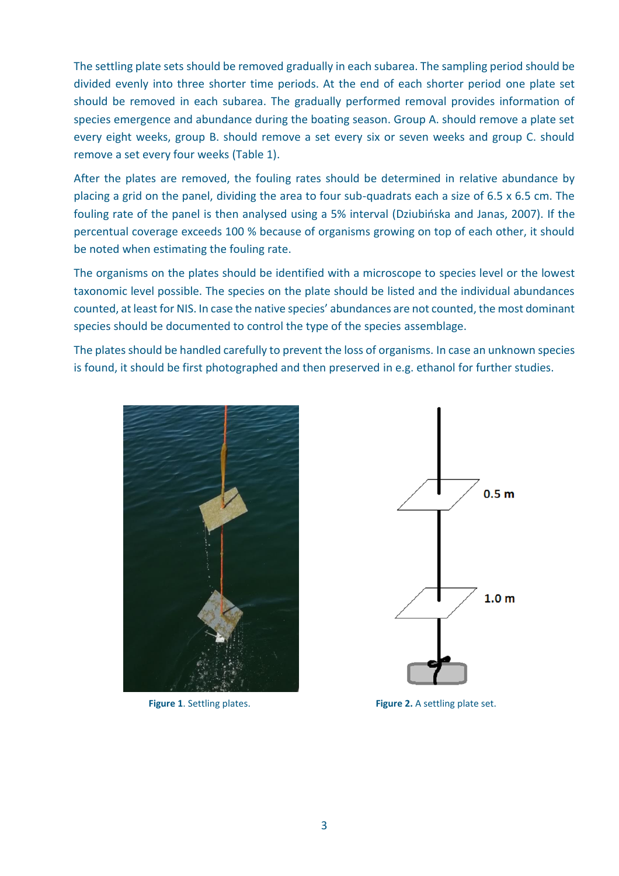The settling plate sets should be removed gradually in each subarea. The sampling period should be divided evenly into three shorter time periods. At the end of each shorter period one plate set should be removed in each subarea. The gradually performed removal provides information of species emergence and abundance during the boating season. Group A. should remove a plate set every eight weeks, group B. should remove a set every six or seven weeks and group C. should remove a set every four weeks (Table 1).

After the plates are removed, the fouling rates should be determined in relative abundance by placing a grid on the panel, dividing the area to four sub-quadrats each a size of 6.5 x 6.5 cm. The fouling rate of the panel is then analysed using a 5% interval (Dziubińska and Janas, 2007). If the percentual coverage exceeds 100 % because of organisms growing on top of each other, it should be noted when estimating the fouling rate.

The organisms on the plates should be identified with a microscope to species level or the lowest taxonomic level possible. The species on the plate should be listed and the individual abundances counted, at least for NIS. In case the native species' abundances are not counted, the most dominant species should be documented to control the type of the species assemblage.

The plates should be handled carefully to prevent the loss of organisms. In case an unknown species is found, it should be first photographed and then preserved in e.g. ethanol for further studies.





**Figure 1.** Settling plates. **Figure 2.** A settling plate set.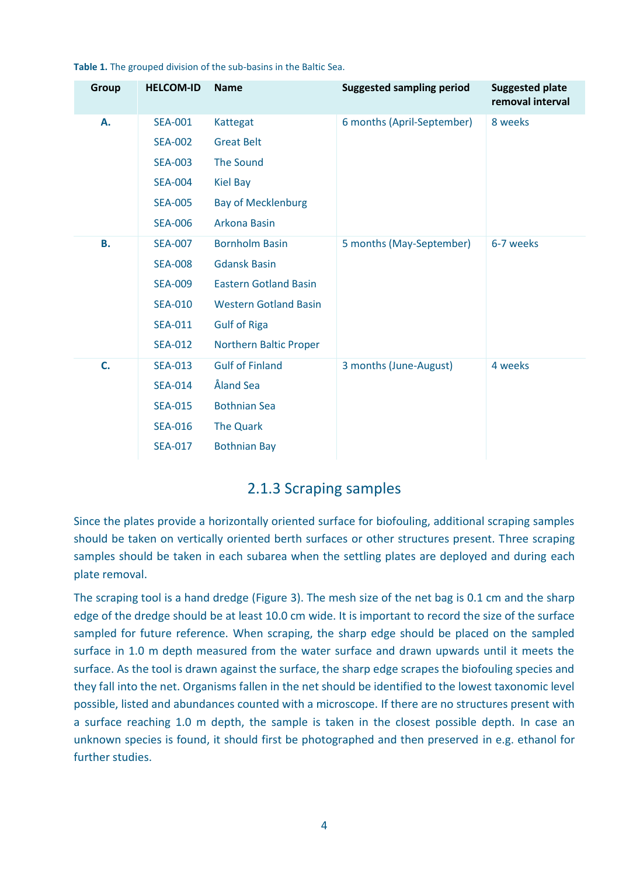| Group     | <b>HELCOM-ID</b> | <b>Name</b>                  | <b>Suggested sampling period</b> | <b>Suggested plate</b><br>removal interval |
|-----------|------------------|------------------------------|----------------------------------|--------------------------------------------|
| А.        | <b>SEA-001</b>   | Kattegat                     | 6 months (April-September)       | 8 weeks                                    |
|           | <b>SEA-002</b>   | <b>Great Belt</b>            |                                  |                                            |
|           | <b>SEA-003</b>   | <b>The Sound</b>             |                                  |                                            |
|           | <b>SEA-004</b>   | <b>Kiel Bay</b>              |                                  |                                            |
|           | <b>SEA-005</b>   | <b>Bay of Mecklenburg</b>    |                                  |                                            |
|           | <b>SEA-006</b>   | Arkona Basin                 |                                  |                                            |
| <b>B.</b> | <b>SEA-007</b>   | <b>Bornholm Basin</b>        | 5 months (May-September)         | 6-7 weeks                                  |
|           | <b>SEA-008</b>   | <b>Gdansk Basin</b>          |                                  |                                            |
|           | <b>SEA-009</b>   | <b>Eastern Gotland Basin</b> |                                  |                                            |
|           | <b>SEA-010</b>   | <b>Western Gotland Basin</b> |                                  |                                            |
|           | <b>SEA-011</b>   | <b>Gulf of Riga</b>          |                                  |                                            |
|           | <b>SEA-012</b>   | Northern Baltic Proper       |                                  |                                            |
| C.        | <b>SEA-013</b>   | <b>Gulf of Finland</b>       | 3 months (June-August)           | 4 weeks                                    |
|           | <b>SEA-014</b>   | Åland Sea                    |                                  |                                            |
|           | <b>SEA-015</b>   | <b>Bothnian Sea</b>          |                                  |                                            |
|           | <b>SEA-016</b>   | <b>The Quark</b>             |                                  |                                            |
|           | <b>SEA-017</b>   | <b>Bothnian Bay</b>          |                                  |                                            |
|           |                  |                              |                                  |                                            |

**Table 1.** The grouped division of the sub-basins in the Baltic Sea.

#### 2.1.3 Scraping samples

<span id="page-6-0"></span>Since the plates provide a horizontally oriented surface for biofouling, additional scraping samples should be taken on vertically oriented berth surfaces or other structures present. Three scraping samples should be taken in each subarea when the settling plates are deployed and during each plate removal.

The scraping tool is a hand dredge (Figure 3). The mesh size of the net bag is 0.1 cm and the sharp edge of the dredge should be at least 10.0 cm wide. It is important to record the size of the surface sampled for future reference. When scraping, the sharp edge should be placed on the sampled surface in 1.0 m depth measured from the water surface and drawn upwards until it meets the surface. As the tool is drawn against the surface, the sharp edge scrapes the biofouling species and they fall into the net. Organisms fallen in the net should be identified to the lowest taxonomic level possible, listed and abundances counted with a microscope. If there are no structures present with a surface reaching 1.0 m depth, the sample is taken in the closest possible depth. In case an unknown species is found, it should first be photographed and then preserved in e.g. ethanol for further studies.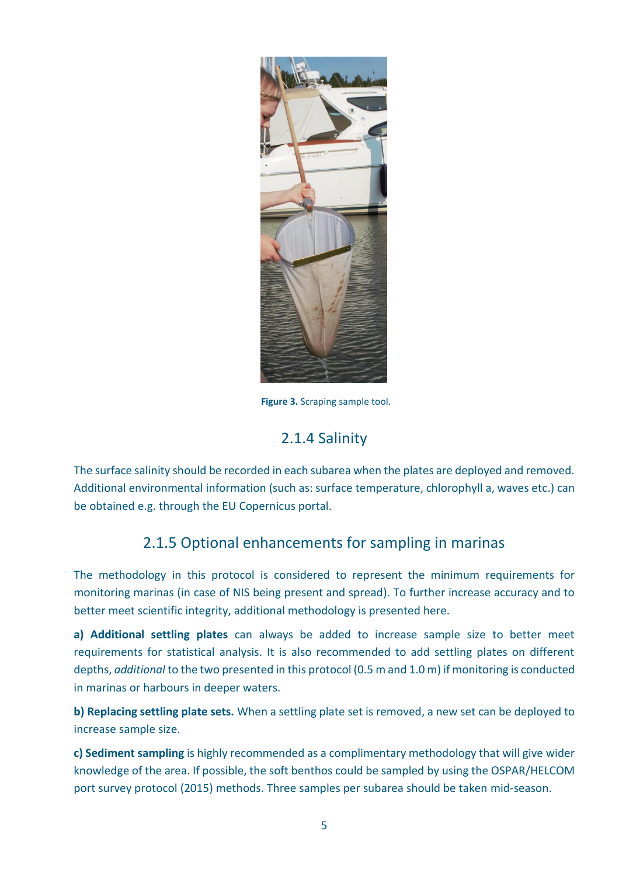

**Figure 3.** Scraping sample tool.

### 2.1.4 Salinity

<span id="page-7-0"></span>The surface salinity should be recorded in each subarea when the plates are deployed and removed. Additional environmental information (such as: surface temperature, chlorophyll a, waves etc.) can be obtained e.g. through the EU Copernicus portal.

## 2.1.5 Optional enhancements for sampling in marinas

<span id="page-7-1"></span>The methodology in this protocol is considered to represent the minimum requirements for monitoring marinas (in case of NIS being present and spread). To further increase accuracy and to better meet scientific integrity, additional methodology is presented here.

**a) Additional settling plates** can always be added to increase sample size to better meet requirements for statistical analysis. It is also recommended to add settling plates on different depths, *additional* to the two presented in this protocol (0.5 m and 1.0 m) if monitoring is conducted in marinas or harbours in deeper waters.

**b) Replacing settling plate sets.** When a settling plate set is removed, a new set can be deployed to increase sample size.

**c) Sediment sampling** is highly recommended as a complimentary methodology that will give wider knowledge of the area. If possible, the soft benthos could be sampled by using the OSPAR/HELCOM port survey protocol (2015) methods. Three samples per subarea should be taken mid-season.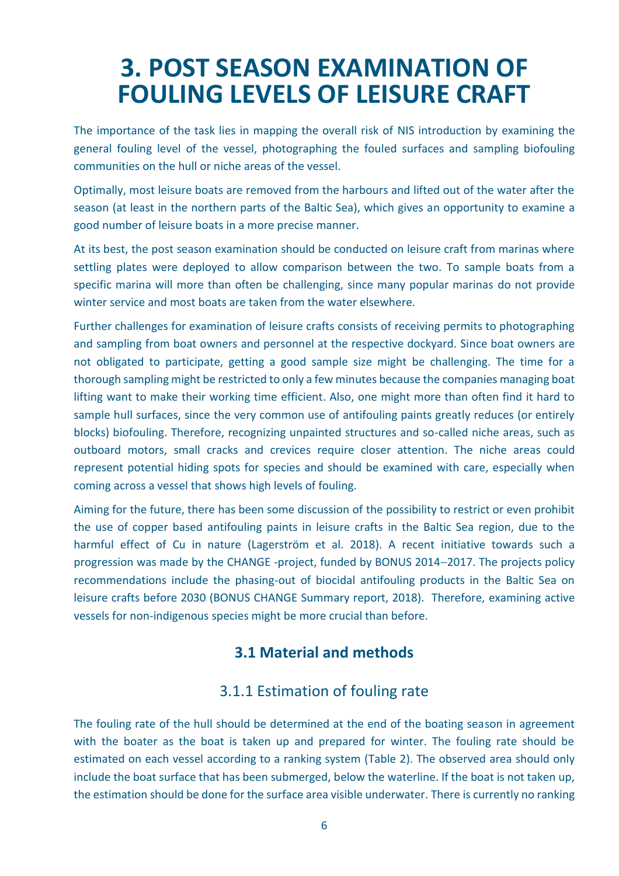## <span id="page-8-0"></span>**3. POST SEASON EXAMINATION OF FOULING LEVELS OF LEISURE CRAFT**

The importance of the task lies in mapping the overall risk of NIS introduction by examining the general fouling level of the vessel, photographing the fouled surfaces and sampling biofouling communities on the hull or niche areas of the vessel.

Optimally, most leisure boats are removed from the harbours and lifted out of the water after the season (at least in the northern parts of the Baltic Sea), which gives an opportunity to examine a good number of leisure boats in a more precise manner.

At its best, the post season examination should be conducted on leisure craft from marinas where settling plates were deployed to allow comparison between the two. To sample boats from a specific marina will more than often be challenging, since many popular marinas do not provide winter service and most boats are taken from the water elsewhere.

Further challenges for examination of leisure crafts consists of receiving permits to photographing and sampling from boat owners and personnel at the respective dockyard. Since boat owners are not obligated to participate, getting a good sample size might be challenging. The time for a thorough sampling might be restricted to only a few minutes because the companies managing boat lifting want to make their working time efficient. Also, one might more than often find it hard to sample hull surfaces, since the very common use of antifouling paints greatly reduces (or entirely blocks) biofouling. Therefore, recognizing unpainted structures and so-called niche areas, such as outboard motors, small cracks and crevices require closer attention. The niche areas could represent potential hiding spots for species and should be examined with care, especially when coming across a vessel that shows high levels of fouling.

Aiming for the future, there has been some discussion of the possibility to restrict or even prohibit the use of copper based antifouling paints in leisure crafts in the Baltic Sea region, due to the harmful effect of Cu in nature (Lagerström et al. 2018). A recent initiative towards such a progression was made by the CHANGE -project, funded by BONUS 2014-2017. The projects policy recommendations include the phasing-out of biocidal antifouling products in the Baltic Sea on leisure crafts before 2030 (BONUS CHANGE Summary report, 2018). Therefore, examining active vessels for non-indigenous species might be more crucial than before.

### <span id="page-8-1"></span>**3.1 Material and methods**

### 3.1.1 Estimation of fouling rate

<span id="page-8-2"></span>The fouling rate of the hull should be determined at the end of the boating season in agreement with the boater as the boat is taken up and prepared for winter. The fouling rate should be estimated on each vessel according to a ranking system (Table 2). The observed area should only include the boat surface that has been submerged, below the waterline. If the boat is not taken up, the estimation should be done for the surface area visible underwater. There is currently no ranking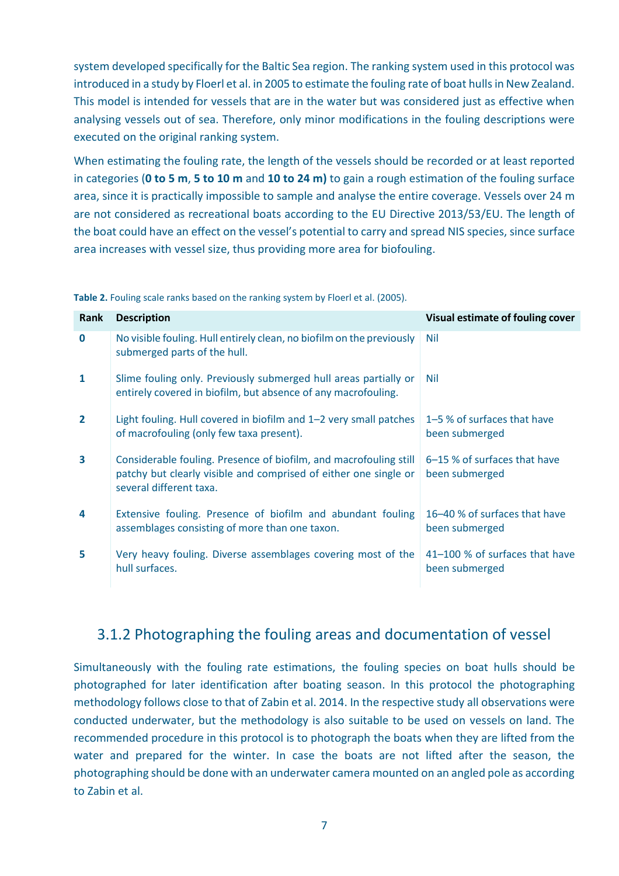system developed specifically for the Baltic Sea region. The ranking system used in this protocol was introduced in a study by Floerl et al. in 2005 to estimate the fouling rate of boat hulls in New Zealand. This model is intended for vessels that are in the water but was considered just as effective when analysing vessels out of sea. Therefore, only minor modifications in the fouling descriptions were executed on the original ranking system.

When estimating the fouling rate, the length of the vessels should be recorded or at least reported in categories (**0 to 5 m**, **5 to 10 m** and **10 to 24 m)** to gain a rough estimation of the fouling surface area, since it is practically impossible to sample and analyse the entire coverage. Vessels over 24 m are not considered as recreational boats according to the EU Directive 2013/53/EU. The length of the boat could have an effect on the vessel's potential to carry and spread NIS species, since surface area increases with vessel size, thus providing more area for biofouling.

**Table 2.** Fouling scale ranks based on the ranking system by Floerl et al. (2005).

| Rank           | <b>Description</b>                                                                                                                                               | Visual estimate of fouling cover                 |
|----------------|------------------------------------------------------------------------------------------------------------------------------------------------------------------|--------------------------------------------------|
| $\bf{0}$       | No visible fouling. Hull entirely clean, no biofilm on the previously<br>submerged parts of the hull.                                                            | Nil                                              |
| $\mathbf{1}$   | Slime fouling only. Previously submerged hull areas partially or<br>entirely covered in biofilm, but absence of any macrofouling.                                | Nil                                              |
| $\overline{2}$ | Light fouling. Hull covered in biofilm and 1-2 very small patches<br>of macrofouling (only few taxa present).                                                    | 1–5 % of surfaces that have<br>been submerged    |
| 3              | Considerable fouling. Presence of biofilm, and macrofouling still<br>patchy but clearly visible and comprised of either one single or<br>several different taxa. | 6–15 % of surfaces that have<br>been submerged   |
| 4              | Extensive fouling. Presence of biofilm and abundant fouling<br>assemblages consisting of more than one taxon.                                                    | 16–40 % of surfaces that have<br>been submerged  |
| 5              | Very heavy fouling. Diverse assemblages covering most of the<br>hull surfaces.                                                                                   | 41-100 % of surfaces that have<br>been submerged |

## <span id="page-9-0"></span>3.1.2 Photographing the fouling areas and documentation of vessel

Simultaneously with the fouling rate estimations, the fouling species on boat hulls should be photographed for later identification after boating season. In this protocol the photographing methodology follows close to that of Zabin et al. 2014. In the respective study all observations were conducted underwater, but the methodology is also suitable to be used on vessels on land. The recommended procedure in this protocol is to photograph the boats when they are lifted from the water and prepared for the winter. In case the boats are not lifted after the season, the photographing should be done with an underwater camera mounted on an angled pole as according to Zabin et al.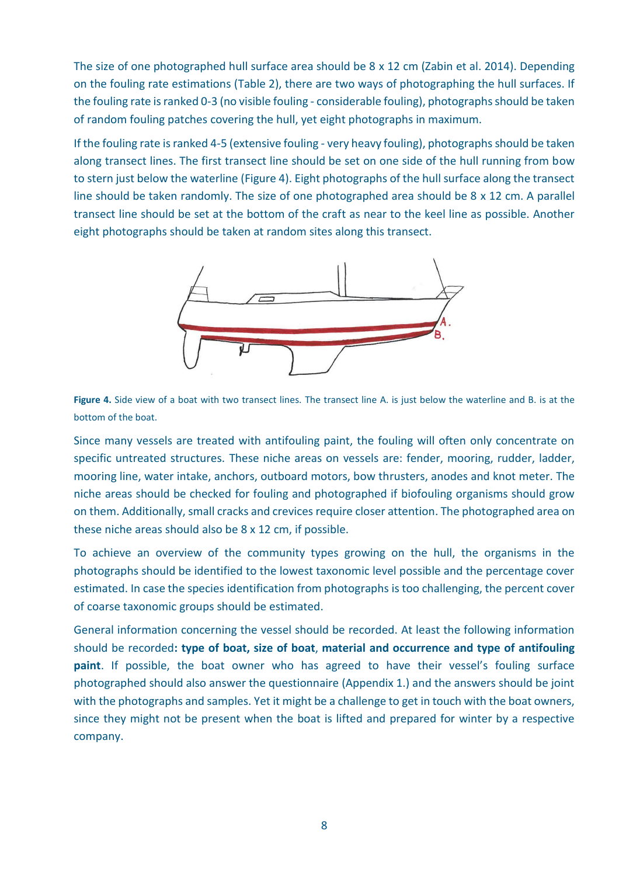The size of one photographed hull surface area should be 8 x 12 cm (Zabin et al. 2014). Depending on the fouling rate estimations (Table 2), there are two ways of photographing the hull surfaces. If the fouling rate is ranked 0-3 (no visible fouling - considerable fouling), photographs should be taken of random fouling patches covering the hull, yet eight photographs in maximum.

If the fouling rate is ranked 4-5 (extensive fouling - very heavy fouling), photographs should be taken along transect lines. The first transect line should be set on one side of the hull running from bow to stern just below the waterline (Figure 4). Eight photographs of the hull surface along the transect line should be taken randomly. The size of one photographed area should be 8 x 12 cm. A parallel transect line should be set at the bottom of the craft as near to the keel line as possible. Another eight photographs should be taken at random sites along this transect.



**Figure 4.** Side view of a boat with two transect lines. The transect line A. is just below the waterline and B. is at the bottom of the boat.

Since many vessels are treated with antifouling paint, the fouling will often only concentrate on specific untreated structures. These niche areas on vessels are: fender, mooring, rudder, ladder, mooring line, water intake, anchors, outboard motors, bow thrusters, anodes and knot meter. The niche areas should be checked for fouling and photographed if biofouling organisms should grow on them. Additionally, small cracks and crevices require closer attention. The photographed area on these niche areas should also be 8 x 12 cm, if possible.

To achieve an overview of the community types growing on the hull, the organisms in the photographs should be identified to the lowest taxonomic level possible and the percentage cover estimated. In case the species identification from photographs is too challenging, the percent cover of coarse taxonomic groups should be estimated.

General information concerning the vessel should be recorded. At least the following information should be recorded**: type of boat, size of boat**, **material and occurrence and type of antifouling paint**. If possible, the boat owner who has agreed to have their vessel's fouling surface photographed should also answer the questionnaire (Appendix 1.) and the answers should be joint with the photographs and samples. Yet it might be a challenge to get in touch with the boat owners, since they might not be present when the boat is lifted and prepared for winter by a respective company.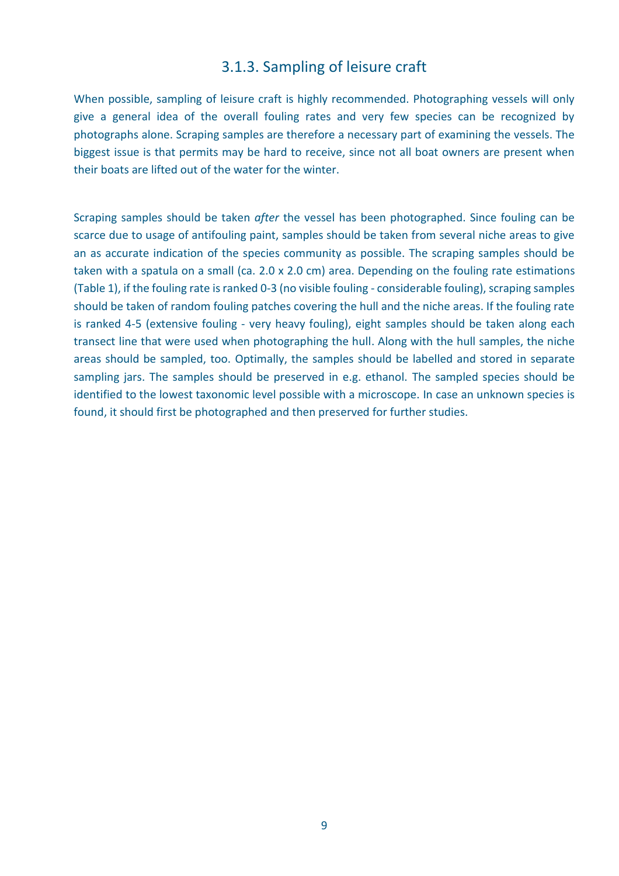### 3.1.3. Sampling of leisure craft

<span id="page-11-0"></span>When possible, sampling of leisure craft is highly recommended. Photographing vessels will only give a general idea of the overall fouling rates and very few species can be recognized by photographs alone. Scraping samples are therefore a necessary part of examining the vessels. The biggest issue is that permits may be hard to receive, since not all boat owners are present when their boats are lifted out of the water for the winter.

Scraping samples should be taken *after* the vessel has been photographed. Since fouling can be scarce due to usage of antifouling paint, samples should be taken from several niche areas to give an as accurate indication of the species community as possible. The scraping samples should be taken with a spatula on a small (ca. 2.0 x 2.0 cm) area. Depending on the fouling rate estimations (Table 1), if the fouling rate is ranked 0-3 (no visible fouling - considerable fouling), scraping samples should be taken of random fouling patches covering the hull and the niche areas. If the fouling rate is ranked 4-5 (extensive fouling - very heavy fouling), eight samples should be taken along each transect line that were used when photographing the hull. Along with the hull samples, the niche areas should be sampled, too. Optimally, the samples should be labelled and stored in separate sampling jars. The samples should be preserved in e.g. ethanol. The sampled species should be identified to the lowest taxonomic level possible with a microscope. In case an unknown species is found, it should first be photographed and then preserved for further studies.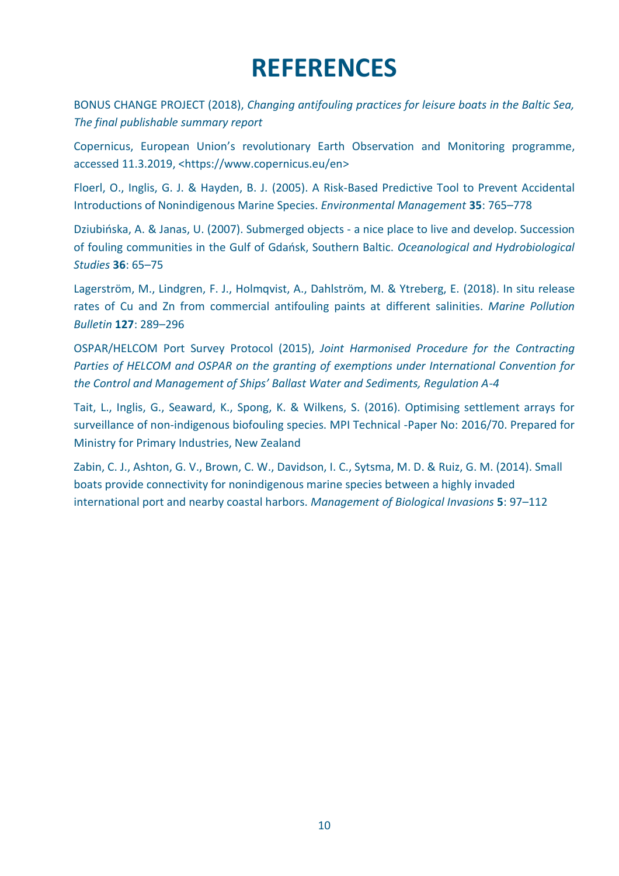## **REFERENCES**

<span id="page-12-0"></span>BONUS CHANGE PROJECT (2018), *Changing antifouling practices for leisure boats in the Baltic Sea, The final publishable summary report*

Copernicus, European Union's revolutionary Earth Observation and Monitoring programme, accessed 11.3.2019, <https://www.copernicus.eu/en>

Floerl, O., Inglis, G. J. & Hayden, B. J. (2005). A Risk-Based Predictive Tool to Prevent Accidental Introductions of Nonindigenous Marine Species. *Environmental Management* **35**: 765–778

Dziubińska, A. & Janas, U. (2007). Submerged objects - a nice place to live and develop. Succession of fouling communities in the Gulf of Gdańsk, Southern Baltic. *Oceanological and Hydrobiological Studies* **36**: 65–75

Lagerström, M., Lindgren, F. J., Holmqvist, A., Dahlström, M. & Ytreberg, E. (2018). In situ release rates of Cu and Zn from commercial antifouling paints at different salinities. *Marine Pollution Bulletin* **127**: 289–296

OSPAR/HELCOM Port Survey Protocol (2015), *Joint Harmonised Procedure for the Contracting Parties of HELCOM and OSPAR on the granting of exemptions under International Convention for the Control and Management of Ships' Ballast Water and Sediments, Regulation A-4*

Tait, L., Inglis, G., Seaward, K., Spong, K. & Wilkens, S. (2016). Optimising settlement arrays for surveillance of non-indigenous biofouling species. MPI Technical -Paper No: 2016/70. Prepared for Ministry for Primary Industries, New Zealand

Zabin, C. J., Ashton, G. V., Brown, C. W., Davidson, I. C., Sytsma, M. D. & Ruiz, G. M. (2014). Small boats provide connectivity for nonindigenous marine species between a highly invaded international port and nearby coastal harbors. *Management of Biological Invasions* **5**: 97–112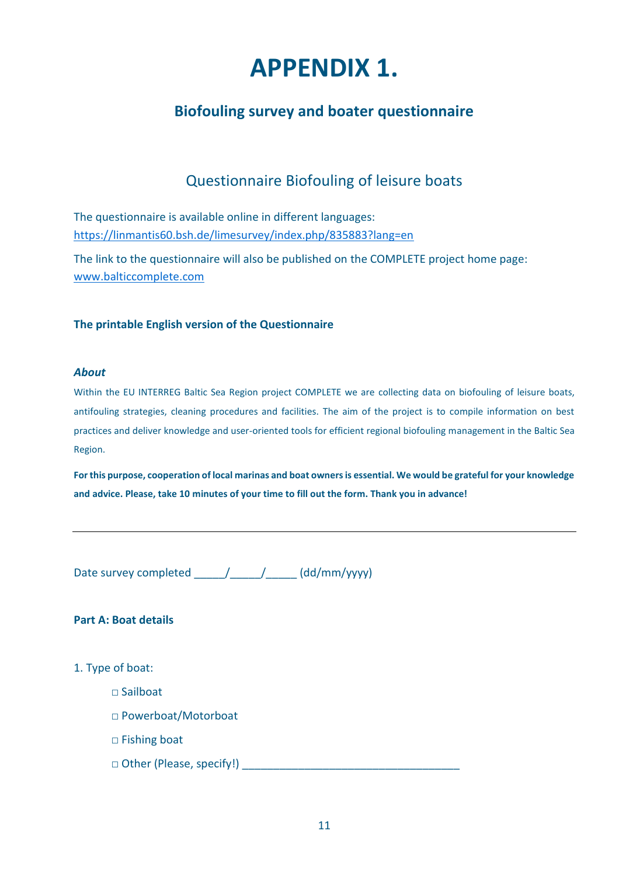## **APPENDIX 1.**

## <span id="page-13-1"></span><span id="page-13-0"></span>**Biofouling survey and boater questionnaire**

### Questionnaire Biofouling of leisure boats

The questionnaire is available online in different languages: <https://linmantis60.bsh.de/limesurvey/index.php/835883?lang=en>

The link to the questionnaire will also be published on the COMPLETE project home page: [www.balticcomplete.com](http://www.balticcomplete.com/)

#### **The printable English version of the Questionnaire**

#### *About*

Within the EU INTERREG Baltic Sea Region project COMPLETE we are collecting data on biofouling of leisure boats, antifouling strategies, cleaning procedures and facilities. The aim of the project is to compile information on best practices and deliver knowledge and user-oriented tools for efficient regional biofouling management in the Baltic Sea Region.

**For this purpose, cooperation of local marinas and boat owners is essential. We would be grateful for your knowledge and advice. Please, take 10 minutes of your time to fill out the form. Thank you in advance!**

Date survey completed \_\_\_\_\_\_/\_\_\_\_\_\_\_/\_\_\_\_\_\_ (dd/mm/yyyy)

#### **Part A: Boat details**

- 1. Type of boat:
	- □ Sailboat
	- □ Powerboat/Motorboat
	- □ Fishing boat
	- □ Other (Please, specify!) \_\_\_\_\_\_\_\_\_\_\_\_\_\_\_\_\_\_\_\_\_\_\_\_\_\_\_\_\_\_\_\_\_\_\_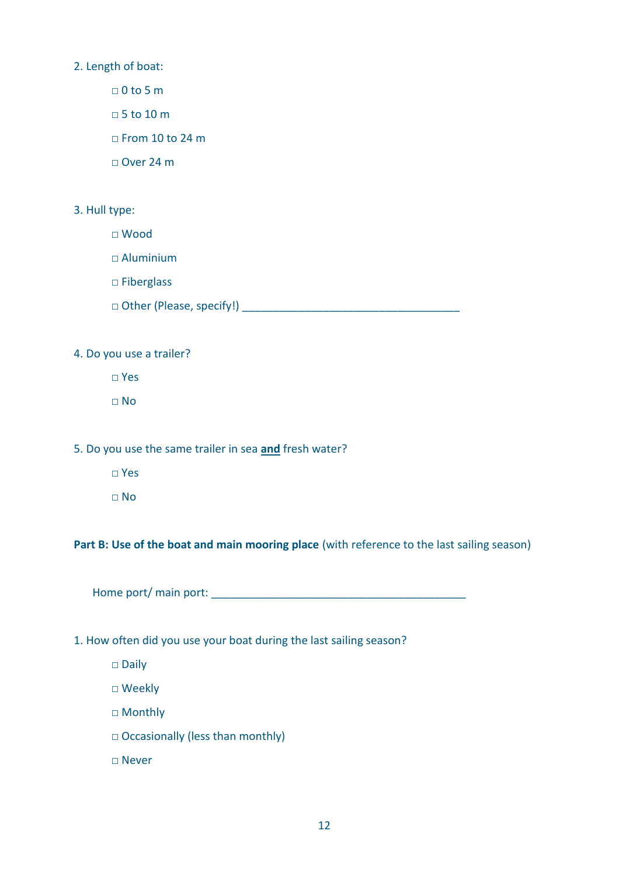2. Length of boat:

□ 0 to 5 m

□ 5 to 10 m

□ From 10 to 24 m

□ Over 24 m

#### 3. Hull type:

□ Wood

 $\Box$  Aluminium

□ Fiberglass

□ Other (Please, specify!) \_\_\_\_\_\_\_\_\_\_\_\_\_\_\_\_\_\_\_\_\_\_\_\_\_\_\_\_\_\_\_\_\_\_\_

4. Do you use a trailer?

□ Yes

□ No

5. Do you use the same trailer in sea **and** fresh water?

- □ Yes
- $\Box$  No

Part B: Use of the boat and main mooring place (with reference to the last sailing season)

Home port/ main port: \_\_\_\_\_\_\_\_\_\_\_\_\_\_\_\_\_\_\_\_\_\_\_\_\_\_\_\_\_\_\_\_\_\_\_\_\_\_\_\_\_

#### 1. How often did you use your boat during the last sailing season?

□ Daily

□ Weekly

□ Monthly

□ Occasionally (less than monthly)

□ Never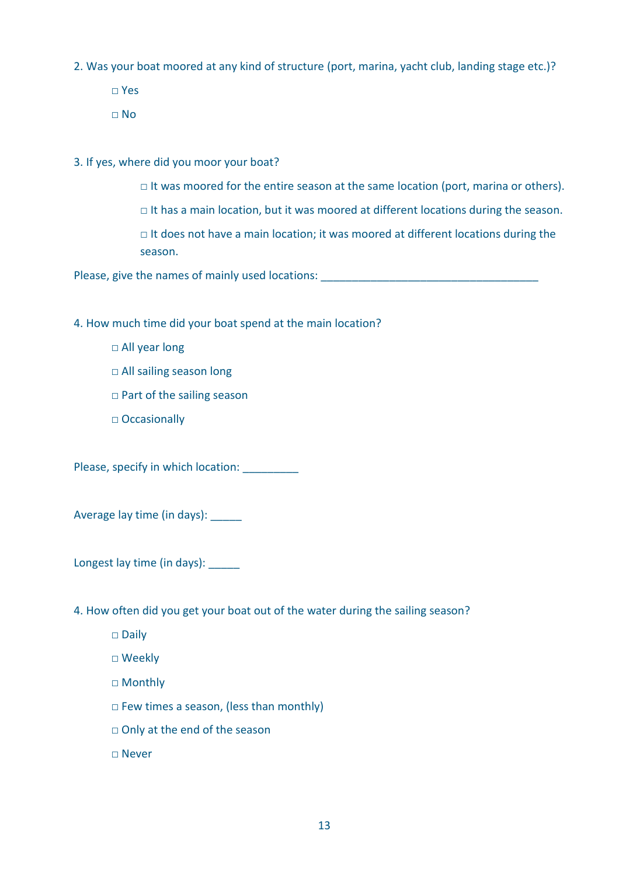2. Was your boat moored at any kind of structure (port, marina, yacht club, landing stage etc.)?

□ Yes

 $\Box$  No

3. If yes, where did you moor your boat?

- □ It was moored for the entire season at the same location (port, marina or others).
- □ It has a main location, but it was moored at different locations during the season.

 $\Box$  It does not have a main location; it was moored at different locations during the season.

Please, give the names of mainly used locations:

4. How much time did your boat spend at the main location?

- □ All year long
- □ All sailing season long
- □ Part of the sailing season
- □ Occasionally

Please, specify in which location: \_\_\_\_\_\_\_\_\_\_

Average lay time (in days): \_\_\_\_\_

Longest lay time (in days): \_\_\_\_\_

4. How often did you get your boat out of the water during the sailing season?

- □ Daily
- □ Weekly
- □ Monthly
- □ Few times a season, (less than monthly)
- □ Only at the end of the season

□ Never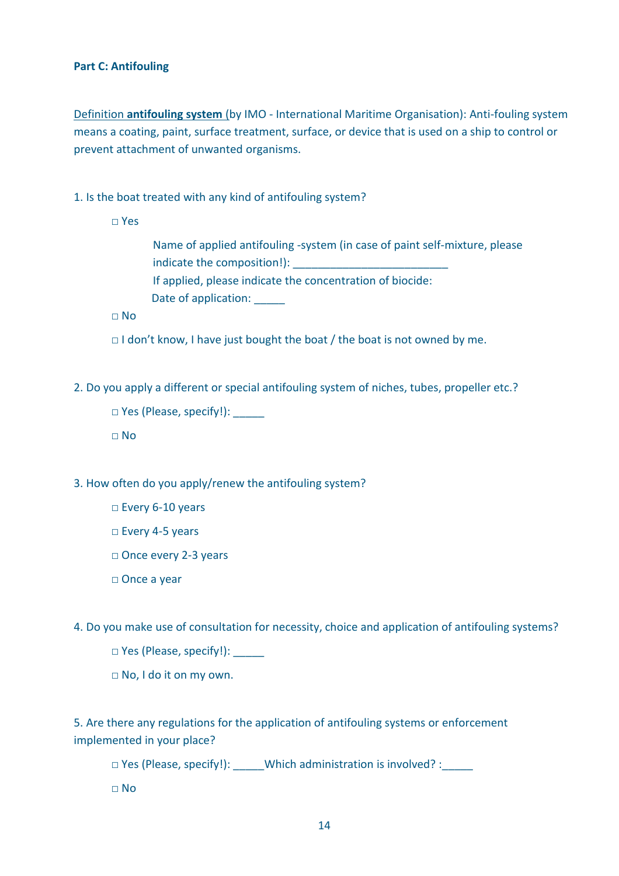#### **Part C: Antifouling**

Definition **antifouling system** (by IMO - International Maritime Organisation): Anti-fouling system means a coating, paint, surface treatment, surface, or device that is used on a ship to control or prevent attachment of unwanted organisms.

1. Is the boat treated with any kind of antifouling system?

□ Yes

 Name of applied antifouling -system (in case of paint self-mixture, please indicate the composition!): If applied, please indicate the concentration of biocide: Date of application: \_\_\_\_\_\_

 $\Box$  No

□ I don't know, I have just bought the boat / the boat is not owned by me.

2. Do you apply a different or special antifouling system of niches, tubes, propeller etc.?

□ Yes (Please, specify!):

□ No

3. How often do you apply/renew the antifouling system?

□ Every 6-10 years

□ Every 4-5 years

□ Once every 2-3 years

□ Once a year

4. Do you make use of consultation for necessity, choice and application of antifouling systems?

 $\Box$  Yes (Please, specify!): \_\_\_\_\_\_

□ No, I do it on my own.

5. Are there any regulations for the application of antifouling systems or enforcement implemented in your place?

□ Yes (Please, specify!): \_\_\_\_\_Which administration is involved? : \_\_\_\_\_

□ No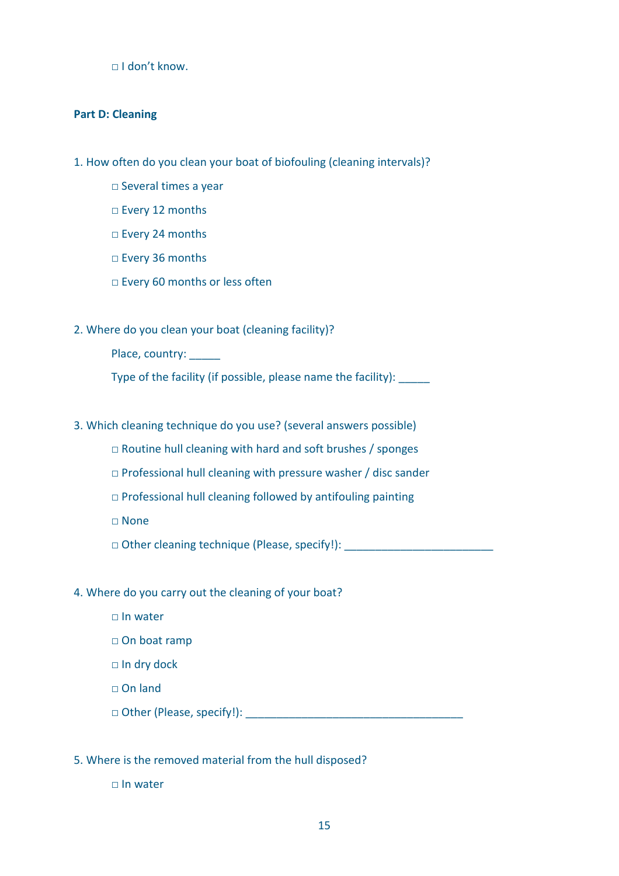□ I don't know.

#### **Part D: Cleaning**

- 1. How often do you clean your boat of biofouling (cleaning intervals)?
	- □ Several times a year
	- □ Every 12 months
	- □ Every 24 months
	- □ Every 36 months
	- □ Every 60 months or less often

#### 2. Where do you clean your boat (cleaning facility)?

Place, country:

Type of the facility (if possible, please name the facility): \_\_\_\_\_

- 3. Which cleaning technique do you use? (several answers possible)
	- $\Box$  Routine hull cleaning with hard and soft brushes / sponges
	- $\Box$  Professional hull cleaning with pressure washer / disc sander
	- $\Box$  Professional hull cleaning followed by antifouling painting
	- □ None
	- □ Other cleaning technique (Please, specify!): \_\_\_\_\_\_\_\_\_\_\_\_\_\_\_\_\_\_\_\_\_\_\_\_\_\_\_\_\_\_\_\_
- 4. Where do you carry out the cleaning of your boat?
	- □ In water
	- □ On boat ramp
	- □ In dry dock
	- □ On land
	- □ Other (Please, specify!): \_\_\_\_\_\_\_\_\_\_\_\_\_\_\_\_\_\_\_\_\_\_\_\_\_\_\_\_\_\_\_\_\_\_\_
- 5. Where is the removed material from the hull disposed?
	- □ In water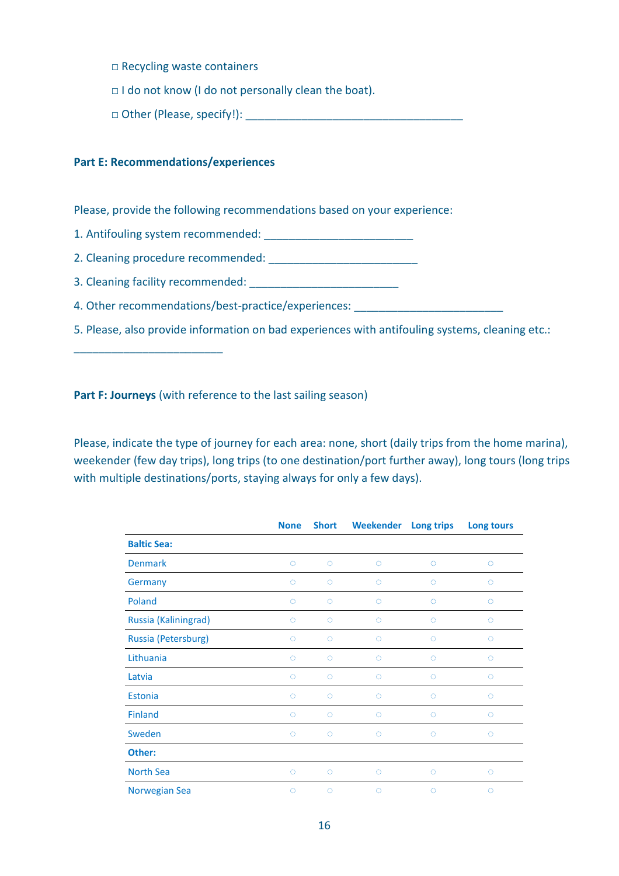□ Recycling waste containers

□ I do not know (I do not personally clean the boat).

 $\Box$  Other (Please, specify!):

#### **Part E: Recommendations/experiences**

\_\_\_\_\_\_\_\_\_\_\_\_\_\_\_\_\_\_\_\_\_\_\_\_

Please, provide the following recommendations based on your experience:

1. Antifouling system recommended: \_\_\_\_\_\_\_\_\_\_\_\_\_\_\_\_\_\_\_\_\_\_\_\_

2. Cleaning procedure recommended:

3. Cleaning facility recommended:

4. Other recommendations/best-practice/experiences:

5. Please, also provide information on bad experiences with antifouling systems, cleaning etc.:

**Part F: Journeys** (with reference to the last sailing season)

Please, indicate the type of journey for each area: none, short (daily trips from the home marina), weekender (few day trips), long trips (to one destination/port further away), long tours (long trips with multiple destinations/ports, staying always for only a few days).

|                      | <b>None</b> | <b>Short</b> | <b>Weekender</b> | Long trips | Long tours |
|----------------------|-------------|--------------|------------------|------------|------------|
| <b>Baltic Sea:</b>   |             |              |                  |            |            |
| <b>Denmark</b>       | $\circ$     | $\circ$      | $\circ$          | O          | $\circ$    |
| Germany              | $\circ$     | $\circ$      | $\circ$          | $\circ$    | $\circ$    |
| Poland               | $\circ$     | $\circ$      | $\circ$          | $\circ$    | $\circ$    |
| Russia (Kaliningrad) | O           | $\circ$      | $\circ$          | O          | O          |
| Russia (Petersburg)  | $\circ$     | $\circ$      | $\circ$          | $\circ$    | $\circ$    |
| Lithuania            | O           | O            | $\circ$          | O          | O          |
| Latvia               | $\circ$     | $\circ$      | $\circ$          | O          | O          |
| Estonia              | $\circ$     | $\circ$      | $\circ$          | Ō          | $\circ$    |
| <b>Finland</b>       | $\circ$     | $\circ$      | $\circ$          | Ō          | $\circ$    |
| Sweden               | $\circ$     | $\circ$      | $\circ$          | $\circ$    | $\circ$    |
| Other:               |             |              |                  |            |            |
| North Sea            | $\circ$     | $\circ$      | $\circ$          | $\circ$    | $\circ$    |
| Norwegian Sea        | O           | $\circ$      | O                | O          | O          |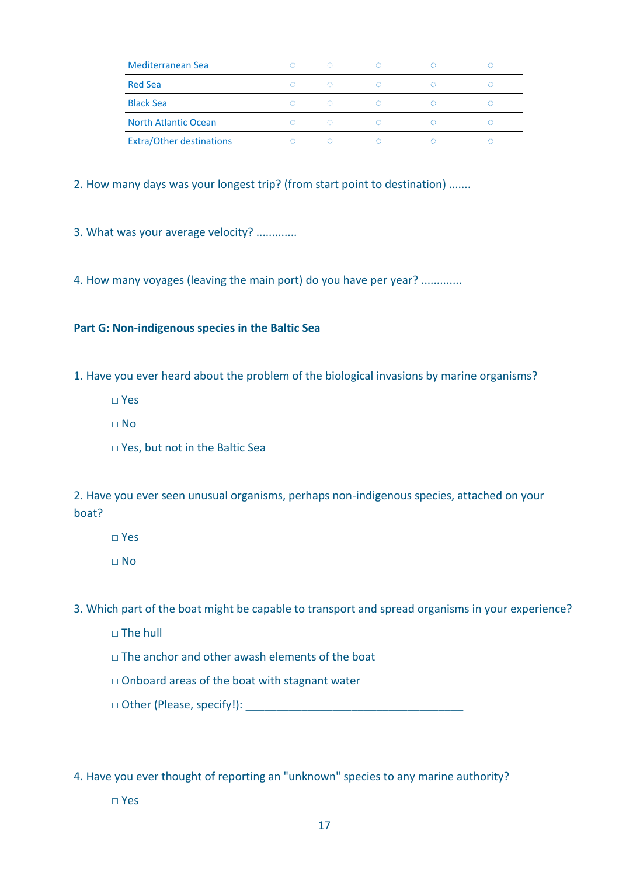| Mediterranean Sea               | O | ⊙ | ⊙  | - 10 | -9 |
|---------------------------------|---|---|----|------|----|
| <b>Red Sea</b>                  | ⊙ | ⊙ | O  |      |    |
| <b>Black Sea</b>                | ∩ | ∩ | O. |      |    |
| <b>North Atlantic Ocean</b>     | ∩ | ∩ |    |      |    |
| <b>Extra/Other destinations</b> | Ω | ∩ |    |      |    |

2. How many days was your longest trip? (from start point to destination) .......

3. What was your average velocity? .............

4. How many voyages (leaving the main port) do you have per year? .............

#### **Part G: Non-indigenous species in the Baltic Sea**

1. Have you ever heard about the problem of the biological invasions by marine organisms?

- □ Yes
- $\n **NO**\n$
- □ Yes, but not in the Baltic Sea

2. Have you ever seen unusual organisms, perhaps non-indigenous species, attached on your boat?

□ Yes

 $\Box$  No

3. Which part of the boat might be capable to transport and spread organisms in your experience?

- $\Box$  The hull
- □ The anchor and other awash elements of the boat
- □ Onboard areas of the boat with stagnant water
- □ Other (Please, specify!): \_\_\_\_\_\_\_\_\_\_\_\_\_\_\_\_\_\_\_\_\_\_\_\_\_\_\_\_\_\_\_\_\_\_\_

4. Have you ever thought of reporting an "unknown" species to any marine authority?

□ Yes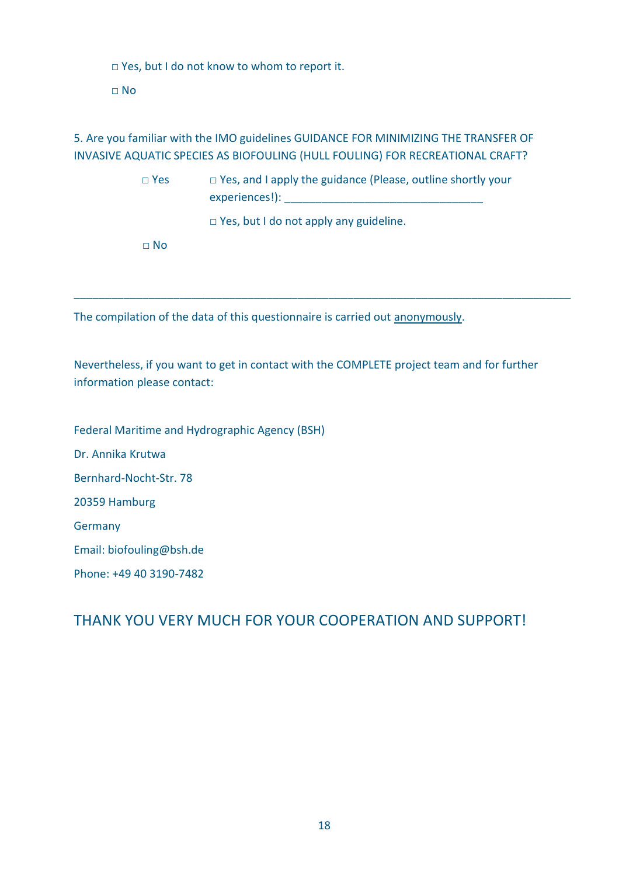□ Yes, but I do not know to whom to report it.

□ No

5. Are you familiar with the IMO guidelines GUIDANCE FOR MINIMIZING THE TRANSFER OF INVASIVE AQUATIC SPECIES AS BIOFOULING (HULL FOULING) FOR RECREATIONAL CRAFT?

> □ Yes □ Yes, and I apply the guidance (Please, outline shortly your experiences!):

\_\_\_\_\_\_\_\_\_\_\_\_\_\_\_\_\_\_\_\_\_\_\_\_\_\_\_\_\_\_\_\_\_\_\_\_\_\_\_\_\_\_\_\_\_\_\_\_\_\_\_\_\_\_\_\_\_\_\_\_\_\_\_\_\_\_\_\_\_\_\_\_\_\_\_\_\_\_\_\_

□ Yes, but I do not apply any guideline.

□ No

The compilation of the data of this questionnaire is carried out anonymously.

Nevertheless, if you want to get in contact with the COMPLETE project team and for further information please contact:

Federal Maritime and Hydrographic Agency (BSH)

Dr. Annika Krutwa

Bernhard-Nocht-Str. 78

20359 Hamburg

**Germany** 

Email: biofouling@bsh.de

Phone: +49 40 3190-7482

THANK YOU VERY MUCH FOR YOUR COOPERATION AND SUPPORT!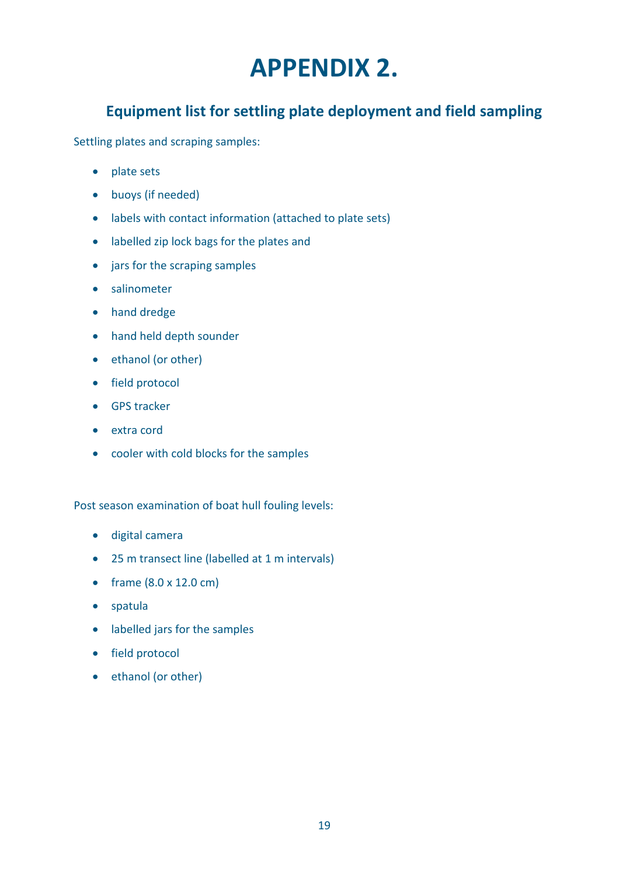## **APPENDIX 2.**

## <span id="page-21-1"></span><span id="page-21-0"></span>**Equipment list for settling plate deployment and field sampling**

Settling plates and scraping samples:

- plate sets
- buoys (if needed)
- labels with contact information (attached to plate sets)
- labelled zip lock bags for the plates and
- jars for the scraping samples
- salinometer
- hand dredge
- hand held depth sounder
- ethanol (or other)
- field protocol
- GPS tracker
- extra cord
- cooler with cold blocks for the samples

Post season examination of boat hull fouling levels:

- digital camera
- 25 m transect line (labelled at 1 m intervals)
- frame (8.0 x 12.0 cm)
- spatula
- labelled jars for the samples
- field protocol
- ethanol (or other)